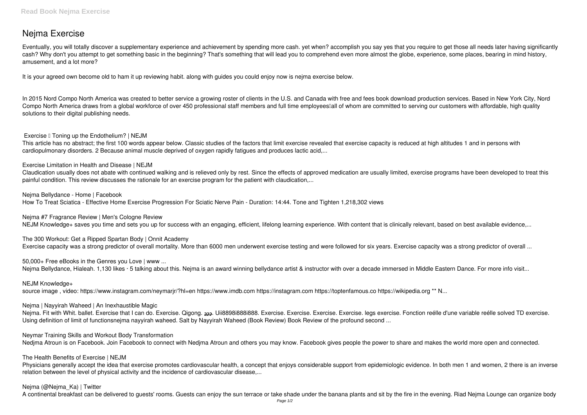# **Nejma Exercise**

Eventually, you will totally discover a supplementary experience and achievement by spending more cash. yet when? accomplish you say yes that you require to get those all needs later having significantly cash? Why don't you attempt to get something basic in the beginning? That's something that will lead you to comprehend even more almost the globe, experience, some places, bearing in mind history, amusement, and a lot more?

It is your agreed own become old to ham it up reviewing habit. along with guides you could enjoy now is **nejma exercise** below.

In 2015 Nord Compo North America was created to better service a growing roster of clients in the U.S. and Canada with free and fees book download production services. Based in New York City, Nord Compo North America draws from a global workforce of over 450 professional staff members and full time employees all of whom are committed to serving our customers with affordable, high quality solutions to their digital publishing needs.

**Exercise I** Toning up the Endothelium? | NEJM

**Nejma #7 Fragrance Review | Men's Cologne Review** NEJM Knowledge+ saves you time and sets you up for success with an engaging, efficient, lifelong learning experience. With content that is clinically relevant, based on best available evidence,...

**The 300 Workout: Get a Ripped Spartan Body | Onnit Academy** Exercise capacity was a strong predictor of overall mortality. More than 6000 men underwent exercise testing and were followed for six years. Exercise capacity was a strong predictor of overall ...

**50,000+ Free eBooks in the Genres you Love | www ...** Nejma Bellydance, Hialeah. 1,130 likes · 5 talking about this. Nejma is an award winning bellydance artist & instructor with over a decade immersed in Middle Eastern Dance. For more info visit...

This article has no abstract; the first 100 words appear below. Classic studies of the factors that limit exercise revealed that exercise capacity is reduced at high altitudes 1 and in persons with cardiopulmonary disorders. 2 Because animal muscle deprived of oxygen rapidly fatigues and produces lactic acid,...

**Exercise Limitation in Health and Disease | NEJM**

Claudication usually does not abate with continued walking and is relieved only by rest. Since the effects of approved medication are usually limited, exercise programs have been developed to treat this painful condition. This review discusses the rationale for an exercise program for the patient with claudication,...

Nejma. Fit with Whit. ballet. Exercise that I can do. Exercise. Qigong. 222. Uii8898i8888i888. Exercise. Exercise. Exercise. Exercise. legs exercise. Fonction reélle d'une variable reélle solved TD exercise. Using definition of limit of functionsnejma nayyirah waheed. Salt by Nayyirah Waheed (Book Review) Book Review of the profound second ...

**Nejma Bellydance - Home | Facebook**

How To Treat Sciatica - Effective Home Exercise Progression For Sciatic Nerve Pain - Duration: 14:44. Tone and Tighten 1,218,302 views

Physicians generally accept the idea that exercise promotes cardiovascular health, a concept that enjoys considerable support from epidemiologic evidence. In both men 1 and women, 2 there is an inverse relation between the level of physical activity and the incidence of cardiovascular disease,...

**NEJM Knowledge+**

source image, video: https://www.instagram.com/neymarjr/?hl=en https://www.imdb.com https://instagram.com https://toptenfamous.co https://wikipedia.org \*\* N...

**Nejma | Nayyirah Waheed | An Inexhaustible Magic**

**Neymar Training Skills and Workout Body Transformation**

Nedima Atroun is on Facebook. Join Facebook to connect with Nedima Atroun and others you may know. Facebook gives people the power to share and makes the world more open and connected.

**The Health Benefits of Exercise | NEJM**

## **Nejma (@Nejma\_Ka) | Twitter**

A continental breakfast can be delivered to guests' rooms. Guests can enjoy the sun terrace or take shade under the banana plants and sit by the fire in the evening. Riad Nejma Lounge can organize body